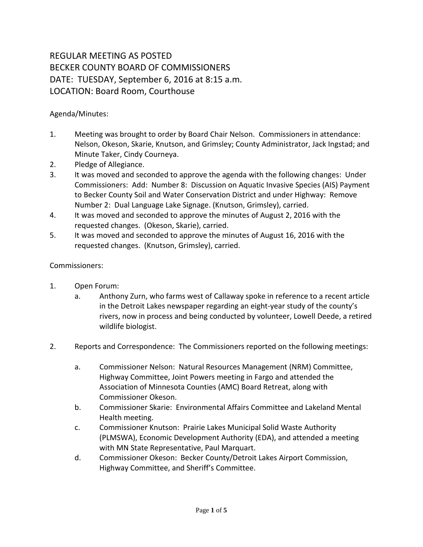## REGULAR MEETING AS POSTED BECKER COUNTY BOARD OF COMMISSIONERS DATE: TUESDAY, September 6, 2016 at 8:15 a.m. LOCATION: Board Room, Courthouse

## Agenda/Minutes:

- 1. Meeting was brought to order by Board Chair Nelson. Commissioners in attendance: Nelson, Okeson, Skarie, Knutson, and Grimsley; County Administrator, Jack Ingstad; and Minute Taker, Cindy Courneya.
- 2. Pledge of Allegiance.
- 3. It was moved and seconded to approve the agenda with the following changes: Under Commissioners: Add: Number 8: Discussion on Aquatic Invasive Species (AIS) Payment to Becker County Soil and Water Conservation District and under Highway: Remove Number 2: Dual Language Lake Signage. (Knutson, Grimsley), carried.
- 4. It was moved and seconded to approve the minutes of August 2, 2016 with the requested changes. (Okeson, Skarie), carried.
- 5. It was moved and seconded to approve the minutes of August 16, 2016 with the requested changes. (Knutson, Grimsley), carried.

## Commissioners:

- 1. Open Forum:
	- a. Anthony Zurn, who farms west of Callaway spoke in reference to a recent article in the Detroit Lakes newspaper regarding an eight-year study of the county's rivers, now in process and being conducted by volunteer, Lowell Deede, a retired wildlife biologist.
- 2. Reports and Correspondence: The Commissioners reported on the following meetings:
	- a. Commissioner Nelson: Natural Resources Management (NRM) Committee, Highway Committee, Joint Powers meeting in Fargo and attended the Association of Minnesota Counties (AMC) Board Retreat, along with Commissioner Okeson.
	- b. Commissioner Skarie: Environmental Affairs Committee and Lakeland Mental Health meeting.
	- c. Commissioner Knutson: Prairie Lakes Municipal Solid Waste Authority (PLMSWA), Economic Development Authority (EDA), and attended a meeting with MN State Representative, Paul Marquart.
	- d. Commissioner Okeson: Becker County/Detroit Lakes Airport Commission, Highway Committee, and Sheriff's Committee.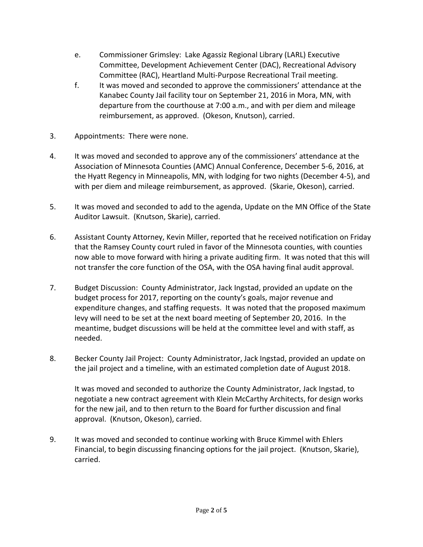- e. Commissioner Grimsley: Lake Agassiz Regional Library (LARL) Executive Committee, Development Achievement Center (DAC), Recreational Advisory Committee (RAC), Heartland Multi-Purpose Recreational Trail meeting.
- f. It was moved and seconded to approve the commissioners' attendance at the Kanabec County Jail facility tour on September 21, 2016 in Mora, MN, with departure from the courthouse at 7:00 a.m., and with per diem and mileage reimbursement, as approved. (Okeson, Knutson), carried.
- 3. Appointments: There were none.
- 4. It was moved and seconded to approve any of the commissioners' attendance at the Association of Minnesota Counties (AMC) Annual Conference, December 5-6, 2016, at the Hyatt Regency in Minneapolis, MN, with lodging for two nights (December 4-5), and with per diem and mileage reimbursement, as approved. (Skarie, Okeson), carried.
- 5. It was moved and seconded to add to the agenda, Update on the MN Office of the State Auditor Lawsuit. (Knutson, Skarie), carried.
- 6. Assistant County Attorney, Kevin Miller, reported that he received notification on Friday that the Ramsey County court ruled in favor of the Minnesota counties, with counties now able to move forward with hiring a private auditing firm. It was noted that this will not transfer the core function of the OSA, with the OSA having final audit approval.
- 7. Budget Discussion: County Administrator, Jack Ingstad, provided an update on the budget process for 2017, reporting on the county's goals, major revenue and expenditure changes, and staffing requests. It was noted that the proposed maximum levy will need to be set at the next board meeting of September 20, 2016. In the meantime, budget discussions will be held at the committee level and with staff, as needed.
- 8. Becker County Jail Project: County Administrator, Jack Ingstad, provided an update on the jail project and a timeline, with an estimated completion date of August 2018.

It was moved and seconded to authorize the County Administrator, Jack Ingstad, to negotiate a new contract agreement with Klein McCarthy Architects, for design works for the new jail, and to then return to the Board for further discussion and final approval. (Knutson, Okeson), carried.

9. It was moved and seconded to continue working with Bruce Kimmel with Ehlers Financial, to begin discussing financing options for the jail project. (Knutson, Skarie), carried.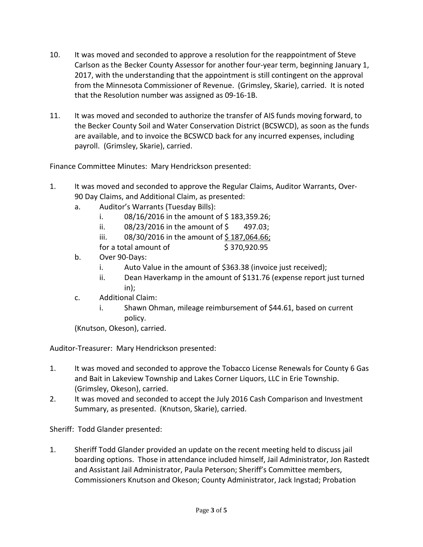- 10. It was moved and seconded to approve a resolution for the reappointment of Steve Carlson as the Becker County Assessor for another four-year term, beginning January 1, 2017, with the understanding that the appointment is still contingent on the approval from the Minnesota Commissioner of Revenue. (Grimsley, Skarie), carried. It is noted that the Resolution number was assigned as 09-16-1B.
- 11. It was moved and seconded to authorize the transfer of AIS funds moving forward, to the Becker County Soil and Water Conservation District (BCSWCD), as soon as the funds are available, and to invoice the BCSWCD back for any incurred expenses, including payroll. (Grimsley, Skarie), carried.

Finance Committee Minutes: Mary Hendrickson presented:

- 1. It was moved and seconded to approve the Regular Claims, Auditor Warrants, Over-90 Day Claims, and Additional Claim, as presented:
	- a. Auditor's Warrants (Tuesday Bills):
		- i.  $08/16/2016$  in the amount of \$183,359.26;
		- ii.  $08/23/2016$  in the amount of  $\sin 497.03$ ;
		- iii.  $08/30/2016$  in the amount of \$187,064.66;
		- for a total amount of  $\frac{1}{2}$  \$ 370,920.95
	- b. Over 90-Days:
		- i. Auto Value in the amount of \$363.38 (invoice just received);
		- ii. Dean Haverkamp in the amount of \$131.76 (expense report just turned in);
	- c. Additional Claim:
		- i. Shawn Ohman, mileage reimbursement of \$44.61, based on current policy.

(Knutson, Okeson), carried.

Auditor-Treasurer: Mary Hendrickson presented:

- 1. It was moved and seconded to approve the Tobacco License Renewals for County 6 Gas and Bait in Lakeview Township and Lakes Corner Liquors, LLC in Erie Township. (Grimsley, Okeson), carried.
- 2. It was moved and seconded to accept the July 2016 Cash Comparison and Investment Summary, as presented. (Knutson, Skarie), carried.

Sheriff: Todd Glander presented:

1. Sheriff Todd Glander provided an update on the recent meeting held to discuss jail boarding options. Those in attendance included himself, Jail Administrator, Jon Rastedt and Assistant Jail Administrator, Paula Peterson; Sheriff's Committee members, Commissioners Knutson and Okeson; County Administrator, Jack Ingstad; Probation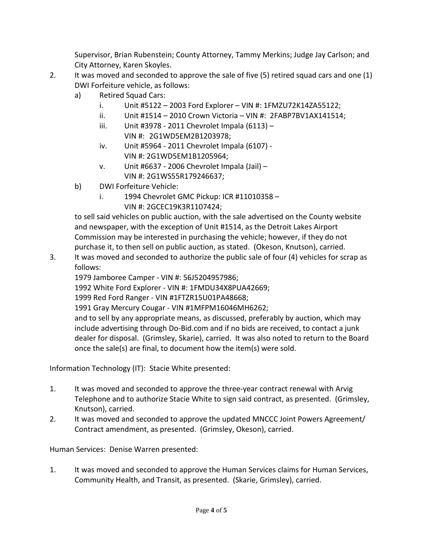Supervisor, Brian Rubenstein; County Attorney, Tammy Merkins; Judge Jay Carlson; and City Attorney, Karen Skoyles.

- 2. It was moved and seconded to approve the sale of five (5) retired squad cars and one (1) DWI Forfeiture vehicle, as follows:
	- a) Retired Squad Cars:
		- i. Unit #5122 2003 Ford Explorer VIN #: 1FMZU72K14ZA55122;
		- ii. Unit #1514 2010 Crown Victoria VIN #: 2FABP7BV1AX141514;
		- iii. Unit #3978 2011 Chevrolet Impala (6113) VIN #: 2G1WD5EM2B1203978;
		- iv. Unit #5964 2011 Chevrolet Impala (6107) VIN #: 2G1WD5EM1B1205964;
		- v. Unit #6637 2006 Chevrolet Impala (Jail) VIN #: 2G1WS55R179246637;
	- b) DWI Forfeiture Vehicle:
		- i. 1994 Chevrolet GMC Pickup: ICR #11010358 VIN #: 2GCEC19K3R1107424;

to sell said vehicles on public auction, with the sale advertised on the County website and newspaper, with the exception of Unit #1514, as the Detroit Lakes Airport Commission may be interested in purchasing the vehicle; however, if they do not purchase it, to then sell on public auction, as stated. (Okeson, Knutson), carried.

3. It was moved and seconded to authorize the public sale of four (4) vehicles for scrap as follows:

1979 Jamboree Camper - VIN #: 56J5204957986;

1992 White Ford Explorer - VIN #: 1FMDU34X8PUA42669;

1999 Red Ford Ranger - VIN #1FTZR15U01PA48668;

1991 Gray Mercury Cougar - VIN #1MFPM16046MH6262;

and to sell by any appropriate means, as discussed, preferably by auction, which may include advertising through Do-Bid.com and if no bids are received, to contact a junk dealer for disposal. (Grimsley, Skarie), carried. It was also noted to return to the Board once the sale(s) are final, to document how the item(s) were sold.

Information Technology (IT): Stacie White presented:

- 1. It was moved and seconded to approve the three-year contract renewal with Arvig Telephone and to authorize Stacie White to sign said contract, as presented. (Grimsley, Knutson), carried.
- 2. It was moved and seconded to approve the updated MNCCC Joint Powers Agreement/ Contract amendment, as presented. (Grimsley, Okeson), carried.

Human Services: Denise Warren presented:

1. It was moved and seconded to approve the Human Services claims for Human Services, Community Health, and Transit, as presented. (Skarie, Grimsley), carried.